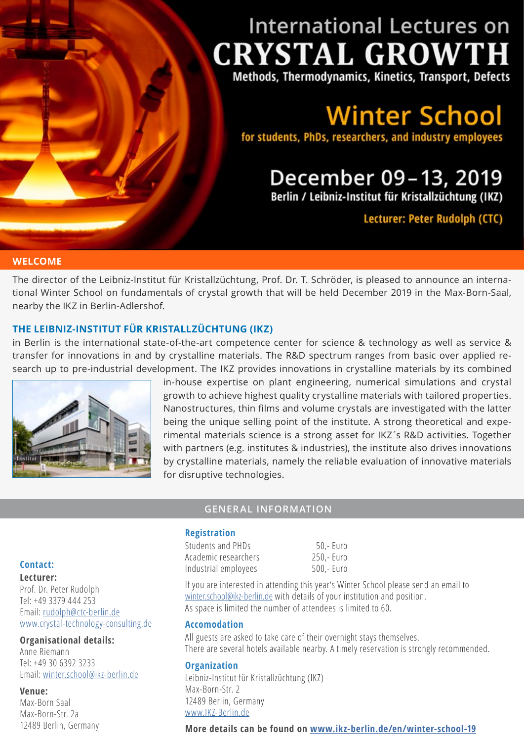# **International Lectures on CRYSTAL GROWTH**

Methods, Thermodynamics, Kinetics, Transport, Defects

**Winter School** 

for students, PhDs, researchers, and industry employees

# December 09-13, 2019 Berlin / Leibniz-Institut für Kristallzüchtung (IKZ)

Lecturer: Peter Rudolph (CTC)

### **WELCOME**

The director of the Leibniz-Institut für Kristallzüchtung, Prof. Dr. T. Schröder, is pleased to announce an international Winter School on fundamentals of crystal growth that will be held December 2019 in the Max-Born-Saal, nearby the IKZ in Berlin-Adlershof.

### **THE LEIBNIZ-INSTITUT FÜR KRISTALLZÜCHTUNG (IKZ)**

in Berlin is the international state-of-the-art competence center for science & technology as well as service & transfer for innovations in and by crystalline materials. The R&D spectrum ranges from basic over applied research up to pre-industrial development. The IKZ provides innovations in crystalline materials by its combined



in-house expertise on plant engineering, numerical simulations and crystal growth to achieve highest quality crystalline materials with tailored properties. Nanostructures, thin films and volume crystals are investigated with the latter being the unique selling point of the institute. A strong theoretical and experimental materials science is a strong asset for IKZ´s R&D activities. Together with partners (e.g. institutes & industries), the institute also drives innovations by crystalline materials, namely the reliable evaluation of innovative materials for disruptive technologies.

# **GENERAL INFORMATION**

#### **Registration**

Students and PHDs 50,- Euro Academic researchers 250,- Euro Industrial employees 500,- Euro

If you are interested in attending this year's Winter School please send an email to [winter.school@ikz-berlin.de](mailto:winter.school%40ikz-berlin.de?subject=Registration%20Winter%20School) with details of your institution and position. As space is limited the number of attendees is limited to 60.

#### **Accomodation**

All guests are asked to take care of their overnight stays themselves. There are several hotels available nearby. A timely reservation is strongly recommended.

### **Organization**

Leibniz-Institut für Kristallzüchtung (IKZ) Max-Born-Str. 2 12489 Berlin, Germany [www.IKZ-Berlin.de](https://www.ikz-berlin.de/en/)

### **More details can be found on [www.ikz-berlin.de/en/winter-school-19](http://www.ikz-berlin.de/en/winter-school-19)**

### **Contact:**

**Lecturer:** Prof. Dr. Peter Rudolph Tel: +49 3379 444 253 Email: [rudolph@ctc-berlin.de](mailto:rudolph%40ctc-berlin.de?subject=) [www.crystal-technology-consulting.de](http://www.crystal-technology-consulting.de)

### **Organisational details:**

Anne Riemann Tel: +49 30 6392 3233 Email: [winter.school@ikz-berlin.de](mailto:winter.school%40ikz-berlin.de%20?subject=)

#### **Venue:**

Max-Born Saal Max-Born-Str. 2a 12489 Berlin, Germany